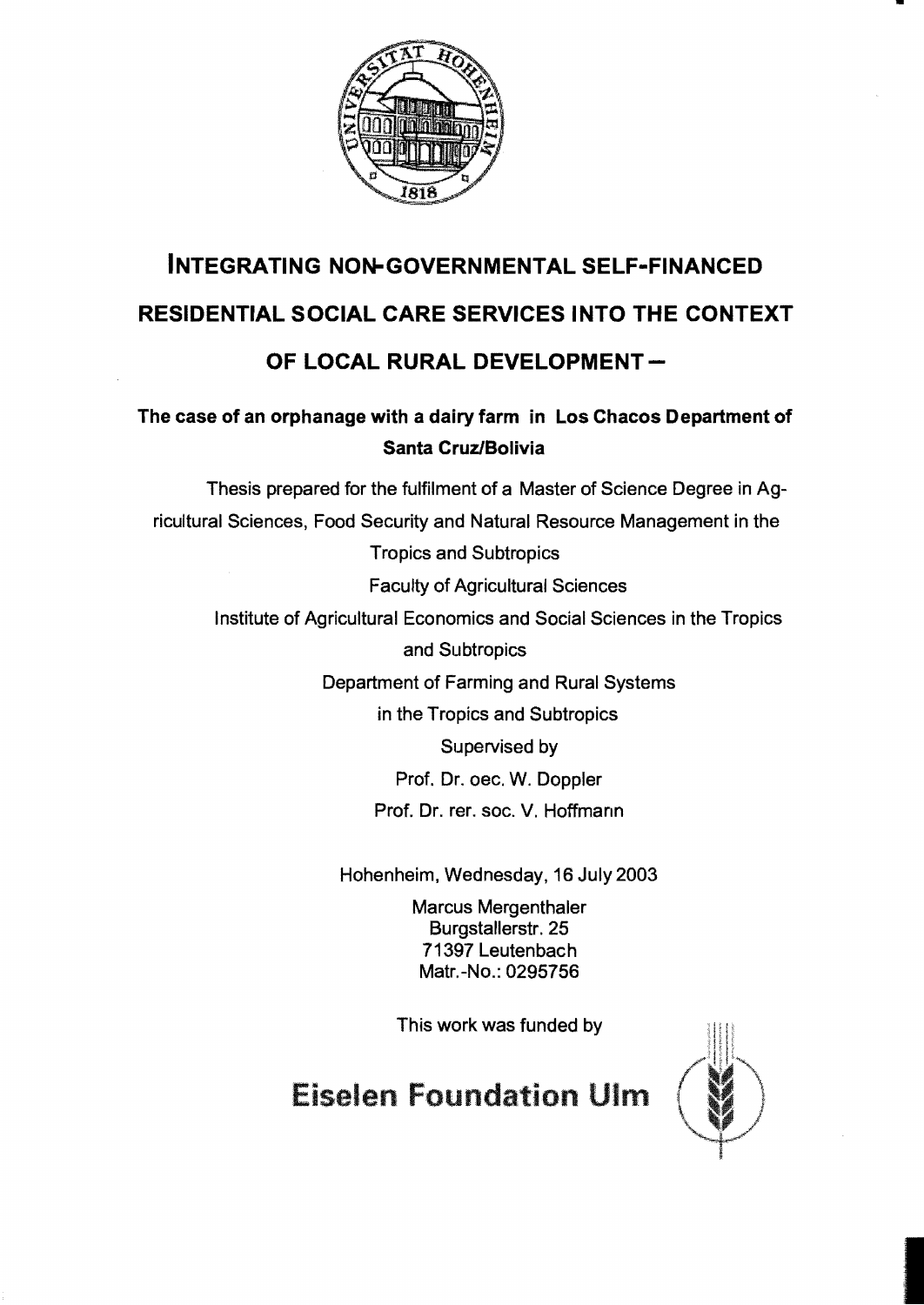

# **INTEGRATING NON-GOVERNMENTAL SELF-FINANCED RESIDENTIAL SOCIAL CARE SERVICES INTO THE CONTEXT**

### OF LOCAL RURAL DEVELOPMENT-

#### **The case of an orphanage with a dairy farm in Los Chacos Department of Santa Cruz/Bolivia**

Thesis prepared for the fulfilment of a Master of Science Degree in Agricultural Sciences, Food Security and Natural Resource Management in the Tropics and Subtropics Faculty of Agricultural Sciences Institute of Agricultural Economics and Social Sciences in the Tropics and Subtropics Department of Farming and Rural Systems in the Tropics and Subtropics Supervised by Prof. Dr. oec. W. Doppler Prof. Dr. rer. soc. V. Hoffmann

Hohenheim, Wednesday, 16 July 2003

Marcus Mergenthaler Burgstallerstr.25 71397 Leutenbach Matr.-No.: 0295756

This work was funded by

## **Eiselen Foundation Ulm**

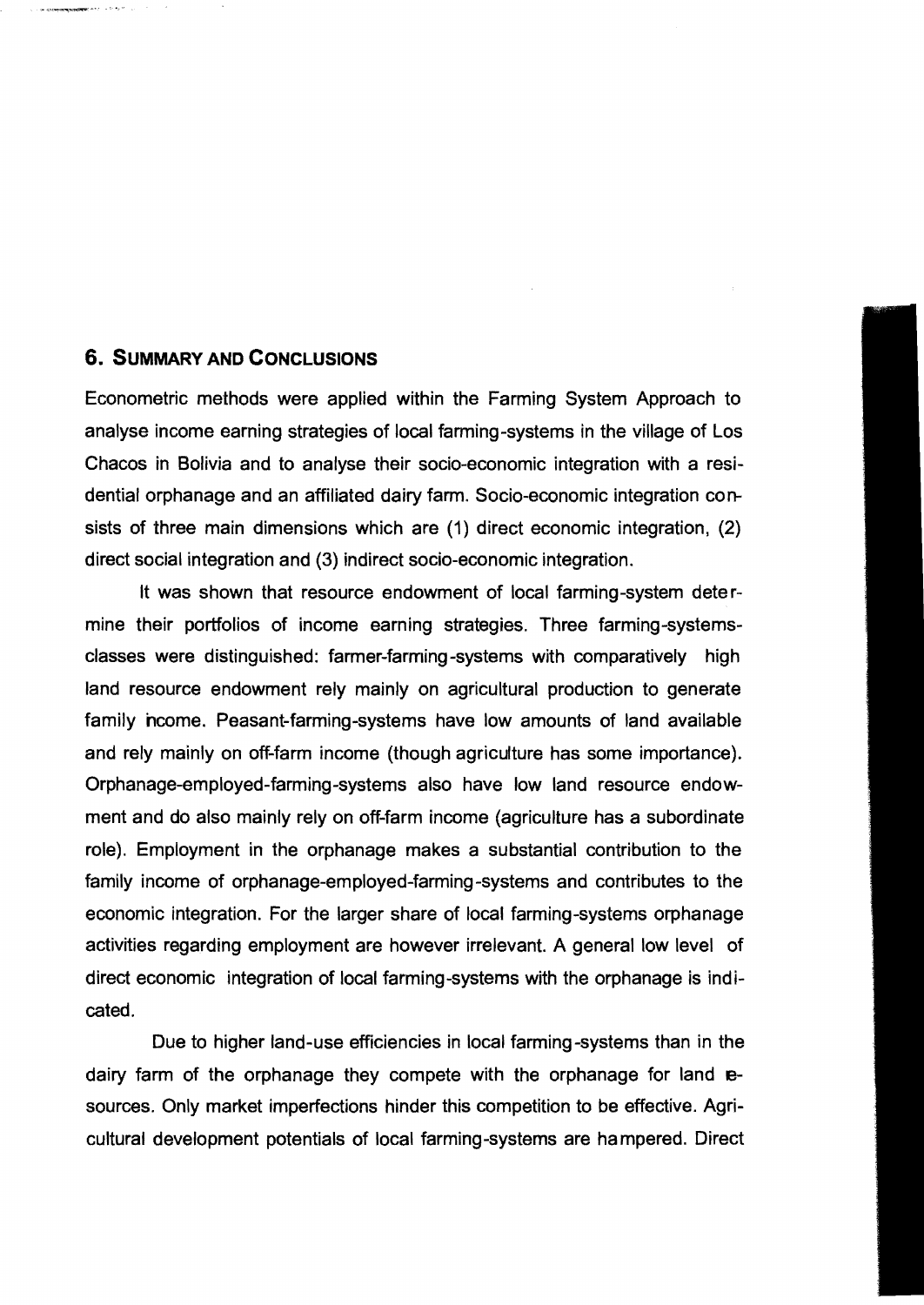#### **6. SUMMARY AND CONCLUSIONS**

Econometric methods were applied within the Farming System Approach to analyse income earning strategies of local farming-systems in the village of Los Chacos in Bolivia and to analyse their socio-economic integration with a residential orphanage and an affiliated dairy farm. Socio-economic integration consists of three main dimensions which are (1) direct economic integration, (2) direct social integration and (3) indirect socio-economic integration.

It was shown that resource endowment of local farming-system dete rmine their portfolios of income earning strategies. Three farming-systemsclasses were distinguished: farmer-farming-systems with comparatively high land resource endowment rely mainly on agricultural production to generate family hcome. Peasant-farming-systems have low amounts of land available and rely mainly on off-farm income (though agriculture has some importance). Orphanage-employed-farming-systems also have low land resource endowment and do also mainly rely on off-farm income (agriculture has a subordinate role). Employment in the orphanage makes a substantial contribution to the famlly income of orphanage-employed-farming-systems and contributes to the economic integration. For the larger share of local farming-systems orphanage activities regarding employment are however irrelevant. A general low level of direct economic integration of local farming-systems with the orphanage is indicated.

Due to higher land-use efficiencies in local farming -systems than in the dairy farm of the orphanage they compete with the orphanage for land resources. Only market imperfections hinder this competition to be effective. Agricultural development potentials of local farming-systems are ha mpered. Direct